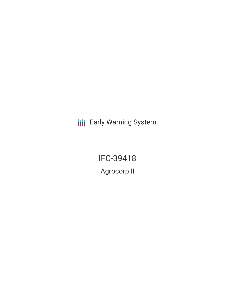**III** Early Warning System

IFC-39418 Agrocorp II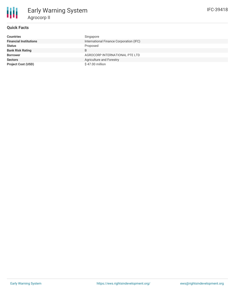

# **Quick Facts**

| <b>Countries</b>              | Singapore                               |
|-------------------------------|-----------------------------------------|
| <b>Financial Institutions</b> | International Finance Corporation (IFC) |
| <b>Status</b>                 | Proposed                                |
| <b>Bank Risk Rating</b>       | B                                       |
| <b>Borrower</b>               | AGROCORP INTERNATIONAL PTE LTD          |
| <b>Sectors</b>                | Agriculture and Forestry                |
| <b>Project Cost (USD)</b>     | \$47.00 million                         |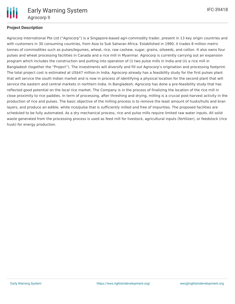

# **Project Description**

Agrocorp International Pte Ltd ("Agrocorp") is a Singapore-based agri-commodity trader, present in 13 key origin countries and with customers in 30 consuming countries, from Asia to Sub Saharan Africa. Established in 1990, it trades 8 million metric tonnes of commodities such as pulses/legumes, wheat, rice, raw cashew, sugar, grains, oilseeds, and cotton. It also owns four pulses and wheat processing facilities in Canada and a rice mill in Myanmar. Agrocorp is currently carrying out an expansion program which includes the construction and putting into operation of (i) two pulse mills in India and (ii) a rice mill in Bangladesh (together the "Project"). The investments will diversify and fill out Agrocorp's origination and processing footprint. The total project cost is estimated at US\$47 million.In India, Agrocorp already has a feasibility study for the first pulses plant that will service the south Indian market and is now in process of identifying a physical location for the second plant that will service the eastern and central markets in northern India. In Bangladesh, Agrocorp has done a pre-feasibility study that has reflected good potential on the local rice market. The Company is in the process of finalizing the location of the rice mill in close proximity to rice paddies. In term of processing, after threshing and drying, milling is a crucial post-harvest activity in the production of rice and pulses. The basic objective of the milling process is to remove the least amount of husks/hulls and bran layers, and produce an edible, white rice/pulse that is sufficiently milled and free of impurities. The proposed facilities are scheduled to be fully automated. As a dry mechanical process, rice and pulse mills require limited raw water inputs. All solid waste generated from the processing process is used as feed mill for livestock, agricultural inputs (fertilizer), or feedstock (rice husk) for energy production.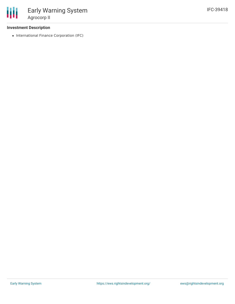# **Investment Description**

• International Finance Corporation (IFC)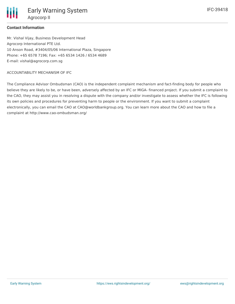

Early Warning System Agrocorp II

### **Contact Information**

Mr. Vishal Vijay, Business Development Head Agrocorp International PTE Ltd. 10 Anson Road, #3404/05/06 International Plaza, Singapore Phone: +65 6578 7196; Fax: +65 6534 1426 / 6534 4689 E-mail: vishal@agrocorp.com.sg

#### ACCOUNTABILITY MECHANISM OF IFC

The Compliance Advisor Ombudsman (CAO) is the independent complaint mechanism and fact-finding body for people who believe they are likely to be, or have been, adversely affected by an IFC or MIGA- financed project. If you submit a complaint to the CAO, they may assist you in resolving a dispute with the company and/or investigate to assess whether the IFC is following its own policies and procedures for preventing harm to people or the environment. If you want to submit a complaint electronically, you can email the CAO at CAO@worldbankgroup.org. You can learn more about the CAO and how to file a complaint at http://www.cao-ombudsman.org/